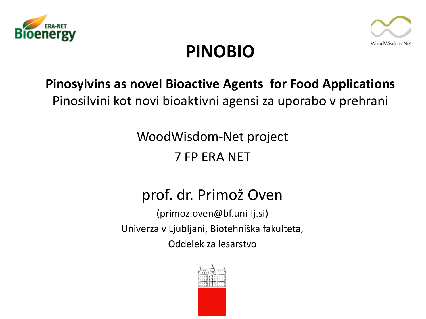



### **PINOBIO**

### **Pinosylvins as novel Bioactive Agents for Food Applications** Pinosilvini kot novi bioaktivni agensi za uporabo v prehrani

WoodWisdom-Net project 7 FP ERA NET

### prof. dr. Primož Oven

(primoz.oven@bf.uni-lj.si) Univerza v Ljubljani, Biotehniška fakulteta, Oddelek za lesarstvo

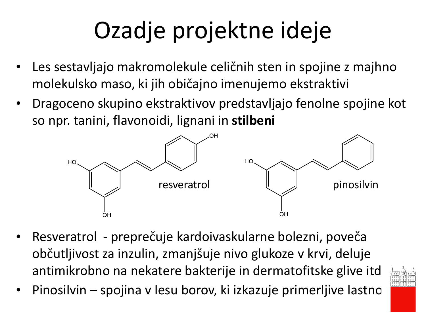# Ozadje projektne ideje

- Les sestavljajo makromolekule celičnih sten in spojine z majhno molekulsko maso, ki jih običajno imenujemo ekstraktivi
- Dragoceno skupino ekstraktivov predstavljajo fenolne spojine kot so npr. tanini, flavonoidi, lignani in **stilbeni**



- Resveratrol preprečuje kardoivaskularne bolezni, poveča občutljivost za inzulin, zmanjšuje nivo glukoze v krvi, deluje antimikrobno na nekatere bakterije in dermatofitske glive itd.
	- Pinosilvin spojina v lesu borov, ki izkazuje primerljive lastno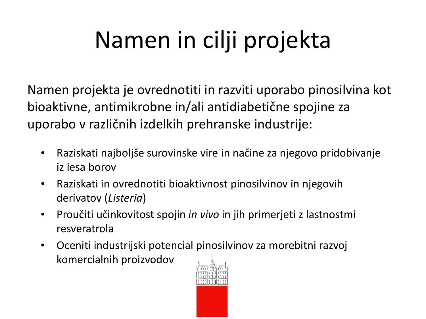# Namen in cilji projekta

Namen projekta je ovrednotiti in razviti uporabo pinosilvina kot bioaktivne, antimikrobne in/ali antidiabetične spojine za uporabo v različnih izdelkih prehranske industrije:

- Raziskati najboljše surovinske vire in načine za njegovo pridobivanje iz lesa borov
- Raziskati in ovrednotiti bioaktivnost pinosilvinov in njegovih derivatov (*Listeria*)
- Proučiti učinkovitost spojin *in vivo* in jih primerjeti z lastnostmi resveratrola
- Oceniti industrijski potenci[al pinosilvin](http://intranet.uni-lj.si/Logotip/LogotipUL_M.gif)ov za morebitni razvoj komercialnih proizvodov

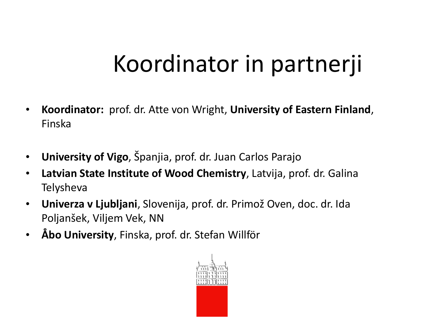## Koordinator in partnerji

- **Koordinator:** prof. dr. Atte von Wright, **University of Eastern Finland**, Finska
- **University of Vigo**, Španjia, prof. dr. Juan Carlos Parajo
- **Latvian State Institute of Wood Chemistry**, Latvija, prof. dr. Galina Telysheva
- **Univerza v Ljubljani**, Slovenija, prof. dr. Primož Oven, doc. dr. Ida Poljanšek, Viljem Vek, NN
- **Åbo University**, Finska, prof. dr. Stefan Willför

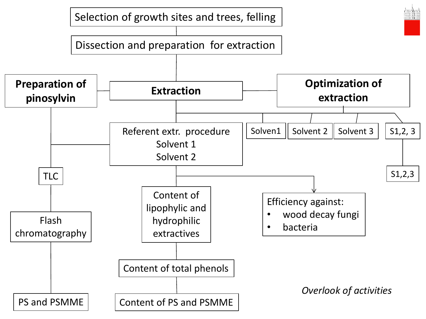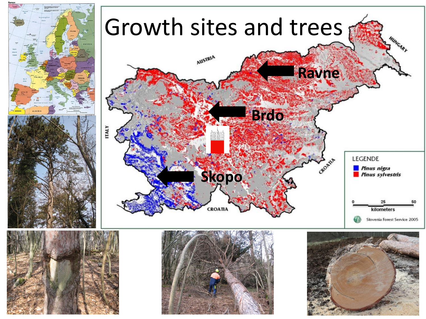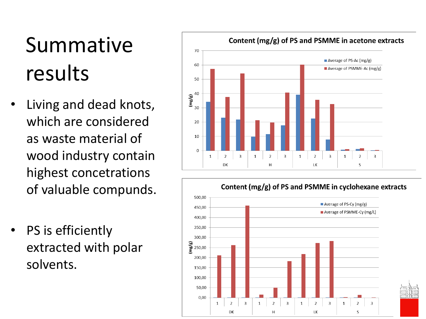## Summative results

- Living and dead knots, which are considered as waste material of wood industry contain highest concetrations of valuable compunds.
- PS is efficiently extracted with polar solvents.



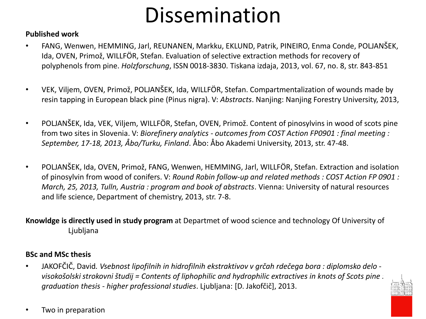## Dissemination

#### **Published work**

- FANG, Wenwen, HEMMING, Jarl, REUNANEN, Markku, EKLUND, Patrik, PINEIRO, Enma Conde, POLJANŠEK, Ida, OVEN, Primož, WILLFÖR, Stefan. Evaluation of selective extraction methods for recovery of polyphenols from pine. *Holzforschung*, ISSN 0018-3830. Tiskana izdaja, 2013, vol. 67, no. 8, str. 843-851
- VEK, Viljem, OVEN, Primož, POLJANŠEK, Ida, WILLFÖR, Stefan. Compartmentalization of wounds made by resin tapping in European black pine (Pinus nigra). V: *Abstracts*. Nanjing: Nanjing Forestry University, 2013,
- POLJANŠEK, Ida, VEK, Viljem, WILLFÖR, Stefan, OVEN, Primož. Content of pinosylvins in wood of scots pine from two sites in Slovenia. V: *Biorefinery analytics - outcomes from COST Action FP0901 : final meeting : September, 17-18, 2013, Åbo/Turku, Finland*. Åbo: Åbo Akademi University, 2013, str. 47-48.
- POLJANŠEK, Ida, OVEN, Primož, FANG, Wenwen, HEMMING, Jarl, WILLFÖR, Stefan. Extraction and isolation of pinosylvin from wood of conifers. V: *Round Robin follow-up and related methods : COST Action FP 0901 : March, 25, 2013, Tulln, Austria : program and book of abstracts*. Vienna: University of natural resources and life science, Department of chemistry, 2013, str. 7-8.

#### **Knowldge is directly used in study program** at Departmet of wood science and technology Of University of Ljubljana

#### **BSc and MSc thesis**

• JAKOFČIČ, David*. Vsebnost lipofilnih in hidrofilnih ekstraktivov v grčah rdečega bora : diplomsko delo visokošolski strokovni študij = Contents of liphophilic and hydrophilic extractives in knots of Scots pine [:](http://intranet.uni-lj.si/Logotip/LogotipUL_M.gif)  graduation thesis - higher professional studies*. Ljubljana: [D. Jakofčič], 2013.



• Two in preparation